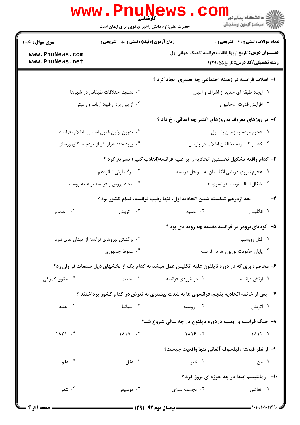|                                                                                                 | <b>WWW.Pnunews</b><br>حضرت علی(ع): دانش راهبر نیکویی برای ایمان است                                           |                                                                               | ڪ دانشڪاه پيا <sub>م</sub> نور<br><mark>√</mark> مرڪز آزمون وسنڊش |  |
|-------------------------------------------------------------------------------------------------|---------------------------------------------------------------------------------------------------------------|-------------------------------------------------------------------------------|-------------------------------------------------------------------|--|
| <b>زمان آزمون (دقیقه) : تستی : 50 ٪ تشریحی : 0</b><br>سری سوال: یک ۱                            |                                                                                                               | <b>تعداد سوالات : تستی : 30 ٪ تشریحی : 0</b>                                  |                                                                   |  |
| www.PnuNews.com<br>www.PnuNews.net                                                              |                                                                                                               | <b>عنــــوان درس:</b> تاریخ اروپاازانقلاب فرانسه تاجنگ جهانی اول              | <b>رشته تحصیلی/کد درس:</b> تاریخ۵۵×۱۲۲۹                           |  |
|                                                                                                 |                                                                                                               | ۱– انقلاب فرانسه در زمینه اجتماعی چه تغییری ایجاد کرد ؟                       |                                                                   |  |
|                                                                                                 | ۰۲ تشدید اختلافات طبقاتی در شهرها                                                                             |                                                                               | ٠١ ايجاد طبقه اي جديد از اشراف و اعيان                            |  |
|                                                                                                 | ۰۴ از بین بردن قیود ارباب و رعیتی                                                                             |                                                                               | ۰۳ افزايش قدرت روحانيون                                           |  |
|                                                                                                 |                                                                                                               | ۲- در روزهای معروف به روزهای اکتبر چه اتفاقی رخ داد ؟                         |                                                                   |  |
| ٠٢ تدوين اولين قانون اساسى انقلاب فرانسه                                                        |                                                                                                               | ٠١ هجوم مردم به زندان باستيل                                                  |                                                                   |  |
|                                                                                                 | ۰۴ ورود چند هزار نفر از مردم به کاخ ورسای                                                                     |                                                                               | ۰۳ کشتار گسترده مخالفان انقلاب در پاریس                           |  |
|                                                                                                 |                                                                                                               | ۳- کدام واقعه تشکیل نخستین اتحادیه را بر علیه فرانسه(انقلاب کبیر) تسریع کرد ؟ |                                                                   |  |
|                                                                                                 | ۰۲ مرگ لوئی شانزدهم                                                                                           | ۰۱ هجوم نیروی دریایی انگلستان به سواحل فرانسه                                 |                                                                   |  |
|                                                                                                 | ۰۴ اتحاد پروس و فرانسه بر علیه روسیه                                                                          |                                                                               | ٠٣ اشغال ايتاليا توسط فرانسوي ها                                  |  |
|                                                                                                 |                                                                                                               | بعد ازدرهم شکسته شدن اتحادیه اول، تنها رقیب فرانسه، کدام کشور بود ؟           | -4                                                                |  |
| ۰۴ عثمانی                                                                                       | ۰۳ اتریش                                                                                                      | ۰۲ روسیه                                                                      | ۰۱ انگلیس                                                         |  |
|                                                                                                 |                                                                                                               | ۵– کودتای برومر در فرانسه مقدمه چه رویدادی بود ؟                              |                                                                   |  |
|                                                                                                 | ۰۲ برگشتن نیروهای فرانسه از میدان های نبرد                                                                    |                                                                               | ۰۱ قتل روبسپیر                                                    |  |
|                                                                                                 | ۰۴ سقوط جمهوری                                                                                                | ۰۳ پایان حکومت بوربون ها در فرانسه                                            |                                                                   |  |
| ۶– محاصره بری که در دوره ناپلئون علیه انگلیس عمل میشد به کدام یک از بخشهای ذیل صدمات فراوان زد؟ |                                                                                                               |                                                                               |                                                                   |  |
| ۰۴ حقوق گمر کی                                                                                  | ۰۳ صنعت                                                                                                       | ۰۲ دریانوردی فرانسه                                                           | ۰۱ ارتش فرانسه                                                    |  |
|                                                                                                 | ۷- پس از خاتمه اتحادیه پنجم، فرانسوی ها به شدت بیشتری به تعرض در کدام کشور پرداختند ؟                         |                                                                               |                                                                   |  |
| ۰۴ هلند                                                                                         | ۰۳ اسیانیا                                                                                                    | ۰۲ روسیه                                                                      | ۰۱ اتریش                                                          |  |
|                                                                                                 |                                                                                                               | ۸- جنگ فرانسه و روسیه دردوره ناپلئون در چه سالی شروع شد؟                      |                                                                   |  |
| 1AY1.5                                                                                          | $1 \wedge 1 \vee \cdots \vee$                                                                                 | $1\Lambda$ $15$ $.7$                                                          | 1117.1                                                            |  |
|                                                                                                 |                                                                                                               | ٩– از نظر فيخته ،فيلسوف آلماني تنها واقعيت چيست؟                              |                                                                   |  |
| ۰۴ علم $\cdot$                                                                                  | ۰۳ عقل                                                                                                        | ۰۲ خیر                                                                        | ۰۱ من                                                             |  |
|                                                                                                 |                                                                                                               |                                                                               | <b>۱۰</b> - رمانتیسم ابتدا در چه حوزه ای بروز کرد ؟               |  |
| ۰۴ شعر                                                                                          | ۰۳ موسیقی                                                                                                     | ۰۲ مجسمه سازی                                                                 | ۰۱ نقاشی                                                          |  |
| = 4 صفحه 11: 4                                                                                  | 1321-97 April 1941 - 1941 - 1942 - 1944 - 1944 - 1944 - 1944 - 1944 - 1944 - 1944 - 1944 - 1944 - 1944 - 1944 |                                                                               |                                                                   |  |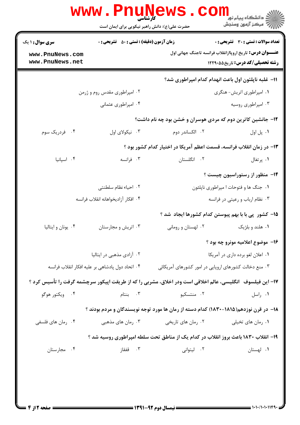| <b>زمان آزمون (دقیقه) : تستی : 50 ٪ تشریحی : 0</b><br><b>سری سوال : ۱ یک</b> |                                                  |                                                                                                            | <b>تعداد سوالات : تستی : 30 ٪ تشریحی : 0</b>                     |
|------------------------------------------------------------------------------|--------------------------------------------------|------------------------------------------------------------------------------------------------------------|------------------------------------------------------------------|
| www.PnuNews.com                                                              |                                                  |                                                                                                            | <b>عنــــوان درس:</b> تاریخ اروپاازانقلاب فرانسه تاجنگ جهانی اول |
| www.PnuNews.net                                                              |                                                  |                                                                                                            | <b>رشته تحصیلی/کد درس:</b> تاریخ۵۵×۱۲۲۹                          |
|                                                                              |                                                  | 11– غلبه ناپلئون اول باعث انهدام كدام امپراطوري شد؟                                                        |                                                                  |
|                                                                              | ۰۲ امپراطوری مقدس روم و ژرمن                     | ۰۱ امپراطوری اتریش- هنگری                                                                                  |                                                                  |
|                                                                              | ۰۴ امپراطوری عثمانی                              |                                                                                                            | ۰۳ امپراطوری روسیه                                               |
|                                                                              |                                                  | ۱۲- جانشین کاترین دوم که مردی هوسران و خشن بود چه نام داشت؟                                                |                                                                  |
| ۰۴ فردریک سوم                                                                | ۰۳ نیکولای اول                                   | ۰۲ الکساندر دوم                                                                                            | ٠١. پل اول                                                       |
|                                                                              |                                                  | ۱۳- در زمان انقلاب فرانسه، قسمت اعظم آمریکا در اختیار کدام کشور بود ؟                                      |                                                                  |
| ۰۴ اسپانیا                                                                   | ۰۳ فرانسه                                        | ۰۲ انگلستان                                                                                                | ۰۱ پرتغال                                                        |
|                                                                              |                                                  |                                                                                                            | ۱۴- منظور از رستوراسیون چیست ؟                                   |
|                                                                              | ۰۲ احیاء نظام سلطنتی                             |                                                                                                            | ۰۱ جنگ ها و فتوحات ا مپراطوري ناپلئون                            |
| ۰۴ افكار آزاديخواهانه انقلاب فرانسه                                          |                                                  | ۰۳ نظام ارباب و رعیتی در فرانسه                                                                            |                                                                  |
|                                                                              |                                                  | 1۵– کشور ًپی با با بهم پیوستن کدام کشورها ایجاد شد ؟                                                       |                                                                  |
| ۰۴ يونان و ايتاليا                                                           | ۰۳ اتریش و مجارستان                              | ۰۲ لهستان و رومانی                                                                                         | ۰۱ هلند و بلژیک                                                  |
|                                                                              |                                                  |                                                                                                            | ۱۶- موضوع اعلامیه مونرو چه بود ؟                                 |
|                                                                              | ۰۲ آزادی مذهبی در ایتالیا                        | ۰۱ اعلان لغو برده داری در آمریکا                                                                           |                                                                  |
|                                                                              | ۰۴ اتحاد دول پادشاهی بر علیه افکار انقلاب فرانسه | ۰۳ منع دخالت کشورهای اروپایی در امور کشورهای آمریکائی                                                      |                                                                  |
|                                                                              |                                                  | ۱۷– این فیلسوف 「انگلیسی، عالم اخلاقی است ودر اخلاق، مشربی را که از طریقت اپیکور سرچشمه گرفت را تأسیس کرد ؟ |                                                                  |
| ۰۴ ویکتور هوگو                                                               |                                                  | ۰۲ منتسکیو ۲۰۰ ۲۰۰ بنتام                                                                                   | ۰۱ راسل                                                          |
|                                                                              |                                                  | ۱۸– در قرن نوزدهم(۱۸۱۵–۱۸۳۰) کدام دسته از رمان ها مورد توجه نویسندگان و مردم بودند ؟                       |                                                                  |
| ۰۴ رمان های فلسفی                                                            |                                                  |                                                                                                            |                                                                  |
|                                                                              |                                                  | ۱۹– انقلاب ۱۸۳۰ باعث بروز انقلاب در کدام یک از مناطق تحت سلطه امپراطوری روسیه شد ؟                         |                                                                  |
| ۰۴ مجارستان                                                                  | ۰۳ قفقاز                                         | ۰۲ لیتوانی                                                                                                 | ۰۱ لهستان                                                        |
|                                                                              |                                                  |                                                                                                            |                                                                  |
|                                                                              |                                                  |                                                                                                            |                                                                  |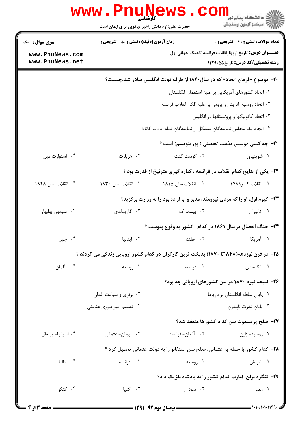|                        | WWW.Pnuw<br>حضرت علی(ع): دانش راهبر نیکویی برای ایمان است                      | <u>ews</u> . com                                                                        | رآ مرڪز آزمون وسنڊش                                             |  |  |
|------------------------|--------------------------------------------------------------------------------|-----------------------------------------------------------------------------------------|-----------------------------------------------------------------|--|--|
| <b>سری سوال :</b> ۱ یک | <b>زمان آزمون (دقیقه) : تستی : 50 ٪ تشریحی : 0</b>                             |                                                                                         | تعداد سوالات : تستى : 30 ٪ تشريحي : 0                           |  |  |
| www.PnuNews.com        |                                                                                |                                                                                         | <b>عنـــوان درس:</b> تاریخ اروپاازانقلاب فرانسه تاجنگ جهانی اول |  |  |
| www.PnuNews.net        |                                                                                |                                                                                         | <b>رشته تحصیلی/کد درس:</b> تاریخ551298                          |  |  |
|                        | <b>۲۰</b> - موضوع «فرمان اتحاد» که در سال۱۸۴۰ از طرف دولت انگلیس صادر شد،چیست؟ |                                                                                         |                                                                 |  |  |
|                        |                                                                                |                                                                                         | ۰۱ اتحاد کشورهای آمریکایی بر علیه استعمار انگلستان              |  |  |
|                        |                                                                                | ۰۲ اتحاد روسیه، اتریش و پروس بر علیه افکار انقلاب فرانسه                                |                                                                 |  |  |
|                        |                                                                                | ۰۳ اتحاد کاتولیکها و پروتستانها در انگلیس                                               |                                                                 |  |  |
|                        |                                                                                | ۰۴ ایجاد یک مجلس نمایندگان متشکل از نمایندگان تمام ایالات کانادا                        |                                                                 |  |  |
|                        |                                                                                |                                                                                         | <b>۲۱</b> - چه کسی موسس مذهب تحصلی ( پوزیتویسم) است ؟           |  |  |
| ۰۴ استوارت میل         | ۰۳ هربارت                                                                      | ۰۲ اگوست کنت                                                                            | ۰۱ شوپنهاور                                                     |  |  |
|                        |                                                                                | ۲۲- یکی از نتایج کدام انقلاب در فرانسه ، کناره گیری مترنیخ از قدرت بود ؟                |                                                                 |  |  |
| ۰۴ انقلاب سال ۱۸۴۸     | ۰۳ انقلاب سال ۱۸۳۰                                                             | ۰۲ انقلاب سال ۱۸۱۵                                                                      | ۰۱ انقلاب کبیر ۱۷۸۹                                             |  |  |
|                        |                                                                                | ۲۳- گیوم اول، او را که مردی نیرومند، مدبر و با اراده بود را به وزارت برگزید؟            |                                                                 |  |  |
| ۰۴ سیمون بولیوار       | ۰۳ گاریبالدی                                                                   | ۰۲ بیسمارک                                                                              | ٠١. تاليران                                                     |  |  |
|                        |                                                                                | <b>۳۴- جنگ انفصال درسال ۱۸۶۱ در کدام کشور به وقوع پیوست</b> ؟                           |                                                                 |  |  |
| ۰۴ چين                 | ۰۳ ایتالیا                                                                     | ٢. هلند                                                                                 | ۰۱ آمریکا                                                       |  |  |
|                        |                                                                                | ۲۵– در قرن نوزدهم(۱۸۴۸تا ۱۸۷۰) بدبخت ترین کارگران در کدام کشور اروپایی زندگی می کردند ؟ |                                                                 |  |  |
| ۴. آلمان               | ۰۳ روسیه                                                                       | ۰۲ فرانسه                                                                               | ۰۱ انگلستان                                                     |  |  |
|                        |                                                                                |                                                                                         | ۲۶- نتیجه نبرد ۱۸۷۰ در بین کشورهای اروپائی چه بود؟              |  |  |
|                        | ۰۲ برتری و سیادت آلمان                                                         | ٠١ پايان سلطه انگلستان بر درياها                                                        |                                                                 |  |  |
|                        | ۰۴ تقسیم امپراطوری عثمانی                                                      |                                                                                         | ۰۳ پايان قدرت ناپلئون                                           |  |  |
|                        |                                                                                |                                                                                         | ٢٧- صلح پرتسموث بين كدام كشورها منعقد شد؟                       |  |  |
| ۰۴ اسپانیا- پرتغال     | ۰۳ يونان- عثماني                                                               | ٢. آلمان-فرانسه                                                                         | ۰۱ روسیه- ژاپن                                                  |  |  |
|                        |                                                                                | ۲۸– کدام کشور،با حمله به عثمانی، صلح سن استفانو را به دولت عثمانی تحمیل کرد ؟           |                                                                 |  |  |
| ۰۴ ایتالیا             | ۰۳ فرانسه                                                                      | ۰۲ روسیه                                                                                | ۰۱ اتریش                                                        |  |  |
|                        | ۲۹- کنگره برلن، امارت کدام کشور را به پادشاه بلژیک داد؟                        |                                                                                         |                                                                 |  |  |
| ۰۴ کنگو                | ۰۳ کنیا                                                                        | ۰۲ سودان                                                                                | ۰۱ مصر                                                          |  |  |
|                        |                                                                                |                                                                                         | 1.1.7.1.1.1164                                                  |  |  |